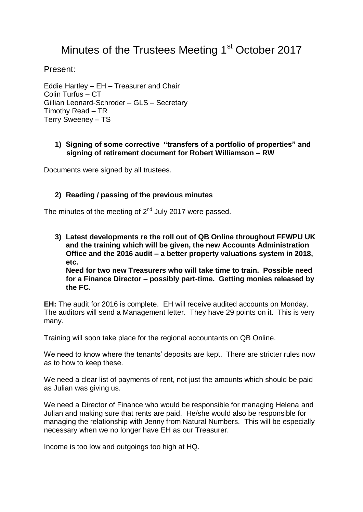# Minutes of the Trustees Meeting 1<sup>st</sup> October 2017

Present:

Eddie Hartley – EH – Treasurer and Chair Colin Turfus – CT Gillian Leonard-Schroder – GLS – Secretary Timothy Read – TR Terry Sweeney – TS

## **1) Signing of some corrective "transfers of a portfolio of properties" and signing of retirement document for Robert Williamson – RW**

Documents were signed by all trustees.

## **2) Reading / passing of the previous minutes**

The minutes of the meeting of  $2<sup>nd</sup>$  July 2017 were passed.

**3) Latest developments re the roll out of QB Online throughout FFWPU UK and the training which will be given, the new Accounts Administration Office and the 2016 audit – a better property valuations system in 2018, etc.**

**Need for two new Treasurers who will take time to train. Possible need for a Finance Director – possibly part-time. Getting monies released by the FC.**

**EH:** The audit for 2016 is complete. EH will receive audited accounts on Monday. The auditors will send a Management letter. They have 29 points on it. This is very many.

Training will soon take place for the regional accountants on QB Online.

We need to know where the tenants' deposits are kept. There are stricter rules now as to how to keep these.

We need a clear list of payments of rent, not just the amounts which should be paid as Julian was giving us.

We need a Director of Finance who would be responsible for managing Helena and Julian and making sure that rents are paid. He/she would also be responsible for managing the relationship with Jenny from Natural Numbers. This will be especially necessary when we no longer have EH as our Treasurer.

Income is too low and outgoings too high at HQ.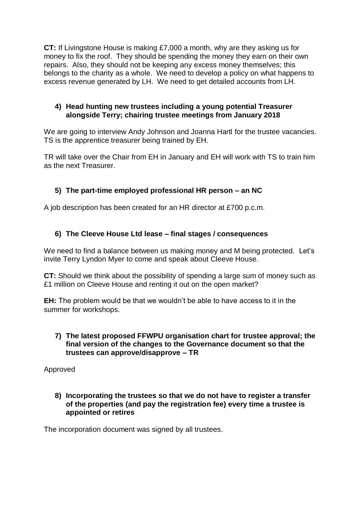**CT:** If Livingstone House is making £7,000 a month, why are they asking us for money to fix the roof. They should be spending the money they earn on their own repairs. Also, they should not be keeping any excess money themselves; this belongs to the charity as a whole. We need to develop a policy on what happens to excess revenue generated by LH. We need to get detailed accounts from LH.

## **4) Head hunting new trustees including a young potential Treasurer alongside Terry; chairing trustee meetings from January 2018**

We are going to interview Andy Johnson and Joanna Hartl for the trustee vacancies. TS is the apprentice treasurer being trained by EH.

TR will take over the Chair from EH in January and EH will work with TS to train him as the next Treasurer.

# **5) The part-time employed professional HR person – an NC**

A job description has been created for an HR director at £700 p.c.m.

## **6) The Cleeve House Ltd lease – final stages / consequences**

We need to find a balance between us making money and M being protected. Let's invite Terry Lyndon Myer to come and speak about Cleeve House.

**CT:** Should we think about the possibility of spending a large sum of money such as £1 million on Cleeve House and renting it out on the open market?

**EH:** The problem would be that we wouldn't be able to have access to it in the summer for workshops.

## **7) The latest proposed FFWPU organisation chart for trustee approval; the final version of the changes to the Governance document so that the trustees can approve/disapprove – TR**

Approved

**8) Incorporating the trustees so that we do not have to register a transfer of the properties (and pay the registration fee) every time a trustee is appointed or retires**

The incorporation document was signed by all trustees.